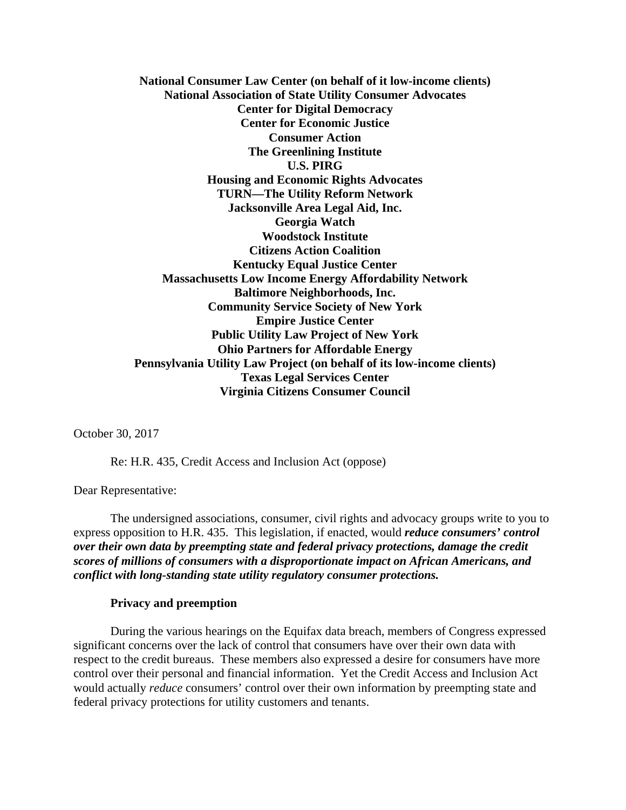**National Consumer Law Center (on behalf of it low-income clients) National Association of State Utility Consumer Advocates Center for Digital Democracy Center for Economic Justice Consumer Action The Greenlining Institute U.S. PIRG Housing and Economic Rights Advocates TURN—The Utility Reform Network Jacksonville Area Legal Aid, Inc. Georgia Watch Woodstock Institute Citizens Action Coalition Kentucky Equal Justice Center Massachusetts Low Income Energy Affordability Network Baltimore Neighborhoods, Inc. Community Service Society of New York Empire Justice Center Public Utility Law Project of New York Ohio Partners for Affordable Energy Pennsylvania Utility Law Project (on behalf of its low-income clients) Texas Legal Services Center Virginia Citizens Consumer Council** 

October 30, 2017

Re: H.R. 435, Credit Access and Inclusion Act (oppose)

Dear Representative:

 The undersigned associations, consumer, civil rights and advocacy groups write to you to express opposition to H.R. 435. This legislation, if enacted, would *reduce consumers' control over their own data by preempting state and federal privacy protections, damage the credit scores of millions of consumers with a disproportionate impact on African Americans, and conflict with long-standing state utility regulatory consumer protections.*

## **Privacy and preemption**

During the various hearings on the Equifax data breach, members of Congress expressed significant concerns over the lack of control that consumers have over their own data with respect to the credit bureaus. These members also expressed a desire for consumers have more control over their personal and financial information. Yet the Credit Access and Inclusion Act would actually *reduce* consumers' control over their own information by preempting state and federal privacy protections for utility customers and tenants.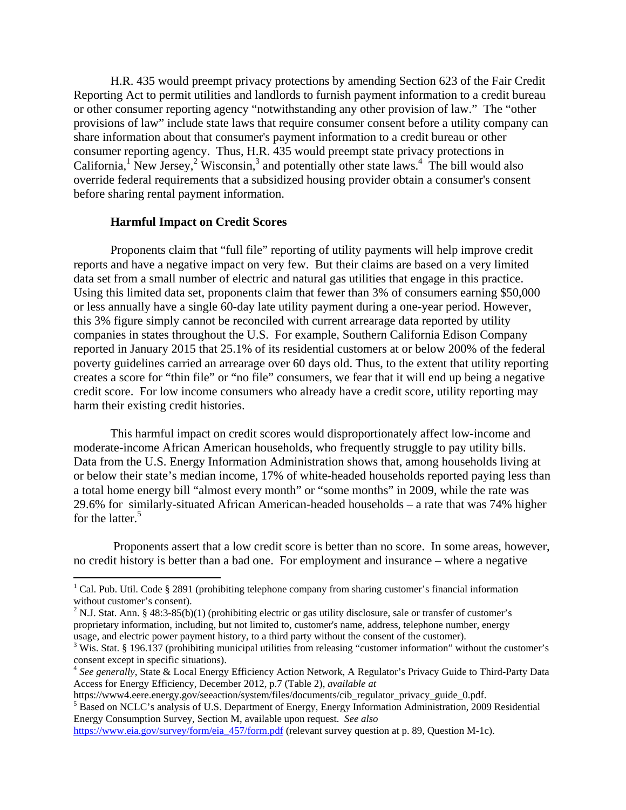H.R. 435 would preempt privacy protections by amending Section 623 of the Fair Credit Reporting Act to permit utilities and landlords to furnish payment information to a credit bureau or other consumer reporting agency "notwithstanding any other provision of law." The "other provisions of law" include state laws that require consumer consent before a utility company can share information about that consumer's payment information to a credit bureau or other consumer reporting agency. Thus, H.R. 435 would preempt state privacy protections in California,<sup>1</sup> New Jersey,<sup>2</sup> Wisconsin,<sup>3</sup> and potentially other state laws.<sup>4</sup> The bill would also override federal requirements that a subsidized housing provider obtain a consumer's consent before sharing rental payment information.

## **Harmful Impact on Credit Scores**

 $\overline{a}$ 

 Proponents claim that "full file" reporting of utility payments will help improve credit reports and have a negative impact on very few. But their claims are based on a very limited data set from a small number of electric and natural gas utilities that engage in this practice. Using this limited data set, proponents claim that fewer than 3% of consumers earning \$50,000 or less annually have a single 60-day late utility payment during a one-year period. However, this 3% figure simply cannot be reconciled with current arrearage data reported by utility companies in states throughout the U.S. For example, Southern California Edison Company reported in January 2015 that 25.1% of its residential customers at or below 200% of the federal poverty guidelines carried an arrearage over 60 days old. Thus, to the extent that utility reporting creates a score for "thin file" or "no file" consumers, we fear that it will end up being a negative credit score. For low income consumers who already have a credit score, utility reporting may harm their existing credit histories.

 This harmful impact on credit scores would disproportionately affect low-income and moderate-income African American households, who frequently struggle to pay utility bills. Data from the U.S. Energy Information Administration shows that, among households living at or below their state's median income, 17% of white-headed households reported paying less than a total home energy bill "almost every month" or "some months" in 2009, while the rate was 29.6% for similarly-situated African American-headed households – a rate that was 74% higher for the latter.<sup>5</sup>

 Proponents assert that a low credit score is better than no score. In some areas, however, no credit history is better than a bad one. For employment and insurance – where a negative

<sup>5</sup> Based on NCLC's analysis of U.S. Department of Energy, Energy Information Administration, 2009 Residential Energy Consumption Survey, Section M, available upon request. *See also*

<sup>&</sup>lt;sup>1</sup> Cal. Pub. Util. Code § 2891 (prohibiting telephone company from sharing customer's financial information without customer's consent).

<sup>&</sup>lt;sup>2</sup> N.J. Stat. Ann. § 48:3-85(b)(1) (prohibiting electric or gas utility disclosure, sale or transfer of customer's proprietary information, including, but not limited to, customer's name, address, telephone number, energy usage, and electric power payment history, to a third party without the consent of the customer).

<sup>&</sup>lt;sup>3</sup> Wis. Stat. § 196.137 (prohibiting municipal utilities from releasing "customer information" without the customer's consent except in specific situations).

<sup>4</sup> *See generally*, State & Local Energy Efficiency Action Network, A Regulator's Privacy Guide to Third-Party Data Access for Energy Efficiency, December 2012, p.7 (Table 2), *available at*

https://www4.eere.energy.gov/seeaction/system/files/documents/cib\_regulator\_privacy\_guide\_0.pdf. 5

https://www.eia.gov/survey/form/eia\_457/form.pdf (relevant survey question at p. 89, Question M-1c).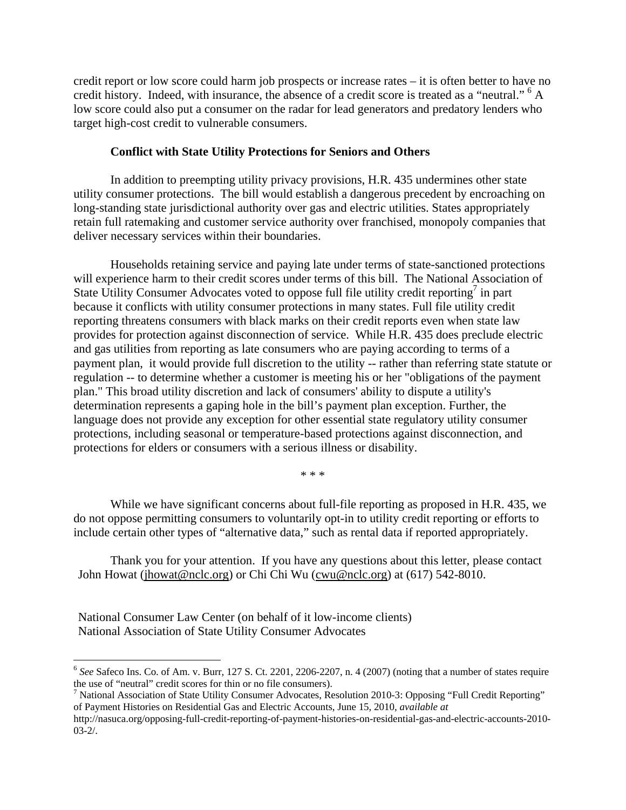credit report or low score could harm job prospects or increase rates – it is often better to have no credit history. Indeed, with insurance, the absence of a credit score is treated as a "neutral." <sup>6</sup> A low score could also put a consumer on the radar for lead generators and predatory lenders who target high-cost credit to vulnerable consumers.

## **Conflict with State Utility Protections for Seniors and Others**

In addition to preempting utility privacy provisions, H.R. 435 undermines other state utility consumer protections. The bill would establish a dangerous precedent by encroaching on long-standing state jurisdictional authority over gas and electric utilities. States appropriately retain full ratemaking and customer service authority over franchised, monopoly companies that deliver necessary services within their boundaries.

Households retaining service and paying late under terms of state-sanctioned protections will experience harm to their credit scores under terms of this bill. The National Association of State Utility Consumer Advocates voted to oppose full file utility credit reporting<sup>7</sup> in part because it conflicts with utility consumer protections in many states. Full file utility credit reporting threatens consumers with black marks on their credit reports even when state law provides for protection against disconnection of service. While H.R. 435 does preclude electric and gas utilities from reporting as late consumers who are paying according to terms of a payment plan, it would provide full discretion to the utility -- rather than referring state statute or regulation -- to determine whether a customer is meeting his or her "obligations of the payment plan." This broad utility discretion and lack of consumers' ability to dispute a utility's determination represents a gaping hole in the bill's payment plan exception. Further, the language does not provide any exception for other essential state regulatory utility consumer protections, including seasonal or temperature-based protections against disconnection, and protections for elders or consumers with a serious illness or disability.

\* \* \*

While we have significant concerns about full-file reporting as proposed in H.R. 435, we do not oppose permitting consumers to voluntarily opt-in to utility credit reporting or efforts to include certain other types of "alternative data," such as rental data if reported appropriately.

 Thank you for your attention. If you have any questions about this letter, please contact John Howat (jhowat@nclc.org) or Chi Chi Wu (cwu@nclc.org) at (617) 542-8010.

National Consumer Law Center (on behalf of it low-income clients) National Association of State Utility Consumer Advocates

 $\overline{a}$ 

 $6$  See Safeco Ins. Co. of Am. v. Burr, 127 S. Ct. 2201, 2206-2207, n. 4 (2007) (noting that a number of states require the use of "neutral" credit scores for thin or no file consumers). 7

<sup>&</sup>lt;sup>7</sup> National Association of State Utility Consumer Advocates, Resolution 2010-3: Opposing "Full Credit Reporting" of Payment Histories on Residential Gas and Electric Accounts, June 15, 2010, *available at*

http://nasuca.org/opposing-full-credit-reporting-of-payment-histories-on-residential-gas-and-electric-accounts-2010- 03-2/.